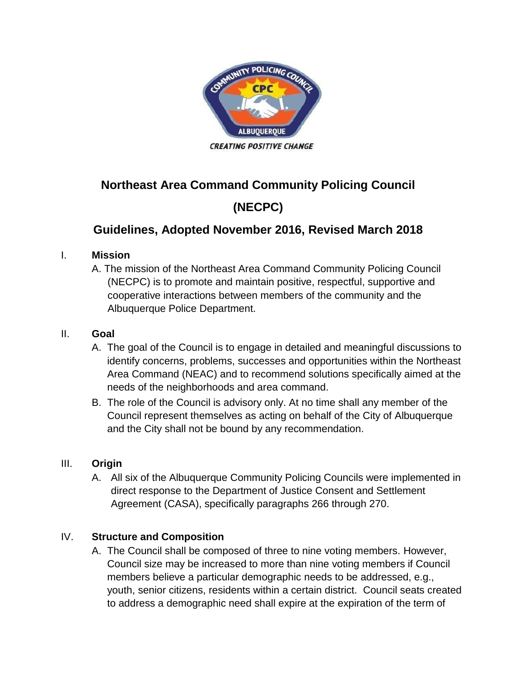

# **Northeast Area Command Community Policing Council (NECPC)**

## **Guidelines, Adopted November 2016, Revised March 2018**

#### I. **Mission**

A. The mission of the Northeast Area Command Community Policing Council (NECPC) is to promote and maintain positive, respectful, supportive and cooperative interactions between members of the community and the Albuquerque Police Department.

#### II. **Goal**

- A. The goal of the Council is to engage in detailed and meaningful discussions to identify concerns, problems, successes and opportunities within the Northeast Area Command (NEAC) and to recommend solutions specifically aimed at the needs of the neighborhoods and area command.
- B. The role of the Council is advisory only. At no time shall any member of the Council represent themselves as acting on behalf of the City of Albuquerque and the City shall not be bound by any recommendation.

## III. **Origin**

A. All six of the Albuquerque Community Policing Councils were implemented in direct response to the Department of Justice Consent and Settlement Agreement (CASA), specifically paragraphs 266 through 270.

## IV. **Structure and Composition**

A. The Council shall be composed of three to nine voting members. However, Council size may be increased to more than nine voting members if Council members believe a particular demographic needs to be addressed, e.g., youth, senior citizens, residents within a certain district. Council seats created to address a demographic need shall expire at the expiration of the term of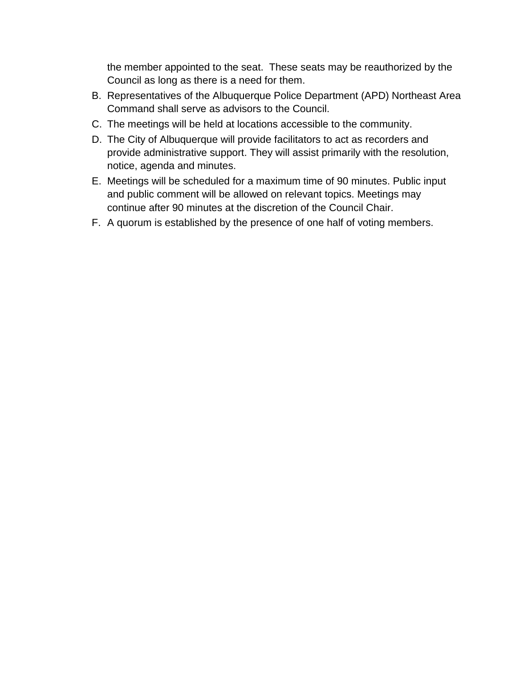the member appointed to the seat. These seats may be reauthorized by the Council as long as there is a need for them.

- B. Representatives of the Albuquerque Police Department (APD) Northeast Area Command shall serve as advisors to the Council.
- C. The meetings will be held at locations accessible to the community.
- D. The City of Albuquerque will provide facilitators to act as recorders and provide administrative support. They will assist primarily with the resolution, notice, agenda and minutes.
- E. Meetings will be scheduled for a maximum time of 90 minutes. Public input and public comment will be allowed on relevant topics. Meetings may continue after 90 minutes at the discretion of the Council Chair.
- F. A quorum is established by the presence of one half of voting members.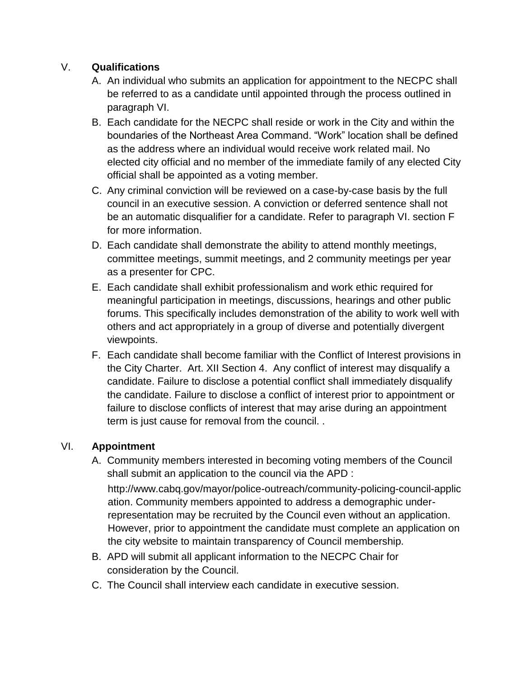#### V. **Qualifications**

- A. An individual who submits an application for appointment to the NECPC shall be referred to as a candidate until appointed through the process outlined in paragraph VI.
- B. Each candidate for the NECPC shall reside or work in the City and within the boundaries of the Northeast Area Command. "Work" location shall be defined as the address where an individual would receive work related mail. No elected city official and no member of the immediate family of any elected City official shall be appointed as a voting member.
- C. Any criminal conviction will be reviewed on a case-by-case basis by the full council in an executive session. A conviction or deferred sentence shall not be an automatic disqualifier for a candidate. Refer to paragraph VI. section F for more information.
- D. Each candidate shall demonstrate the ability to attend monthly meetings, committee meetings, summit meetings, and 2 community meetings per year as a presenter for CPC.
- E. Each candidate shall exhibit professionalism and work ethic required for meaningful participation in meetings, discussions, hearings and other public forums. This specifically includes demonstration of the ability to work well with others and act appropriately in a group of diverse and potentially divergent viewpoints.
- F. Each candidate shall become familiar with the Conflict of Interest provisions in the City Charter. Art. XII Section 4. Any conflict of interest may disqualify a candidate. Failure to disclose a potential conflict shall immediately disqualify the candidate. Failure to disclose a conflict of interest prior to appointment or failure to disclose conflicts of interest that may arise during an appointment term is just cause for removal from the council. .

## VI. **Appointment**

A. Community members interested in becoming voting members of the Council shall submit an application to the council via the APD : http://www.cabq.gov/mayor/police-outreach/community-policing-council-applic

ation. Community members appointed to address a demographic underrepresentation may be recruited by the Council even without an application. However, prior to appointment the candidate must complete an application on the city website to maintain transparency of Council membership.

- B. APD will submit all applicant information to the NECPC Chair for consideration by the Council.
- C. The Council shall interview each candidate in executive session.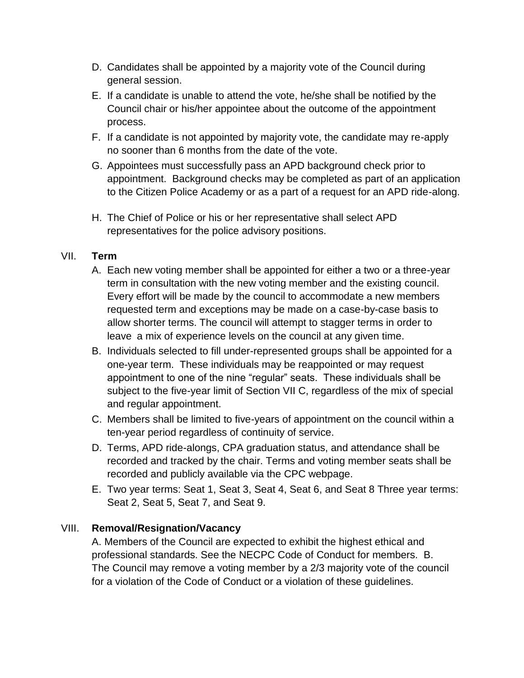- D. Candidates shall be appointed by a majority vote of the Council during general session.
- E. If a candidate is unable to attend the vote, he/she shall be notified by the Council chair or his/her appointee about the outcome of the appointment process.
- F. If a candidate is not appointed by majority vote, the candidate may re-apply no sooner than 6 months from the date of the vote.
- G. Appointees must successfully pass an APD background check prior to appointment. Background checks may be completed as part of an application to the Citizen Police Academy or as a part of a request for an APD ride-along.
- H. The Chief of Police or his or her representative shall select APD representatives for the police advisory positions.

#### VII. **Term**

- A. Each new voting member shall be appointed for either a two or a three-year term in consultation with the new voting member and the existing council. Every effort will be made by the council to accommodate a new members requested term and exceptions may be made on a case-by-case basis to allow shorter terms. The council will attempt to stagger terms in order to leave a mix of experience levels on the council at any given time.
- B. Individuals selected to fill under-represented groups shall be appointed for a one-year term. These individuals may be reappointed or may request appointment to one of the nine "regular" seats. These individuals shall be subject to the five-year limit of Section VII C, regardless of the mix of special and regular appointment.
- C. Members shall be limited to five-years of appointment on the council within a ten-year period regardless of continuity of service.
- D. Terms, APD ride-alongs, CPA graduation status, and attendance shall be recorded and tracked by the chair. Terms and voting member seats shall be recorded and publicly available via the CPC webpage.
- E. Two year terms: Seat 1, Seat 3, Seat 4, Seat 6, and Seat 8 Three year terms: Seat 2, Seat 5, Seat 7, and Seat 9.

## VIII. **Removal/Resignation/Vacancy**

A. Members of the Council are expected to exhibit the highest ethical and professional standards. See the NECPC Code of Conduct for members. B. The Council may remove a voting member by a 2/3 majority vote of the council for a violation of the Code of Conduct or a violation of these guidelines.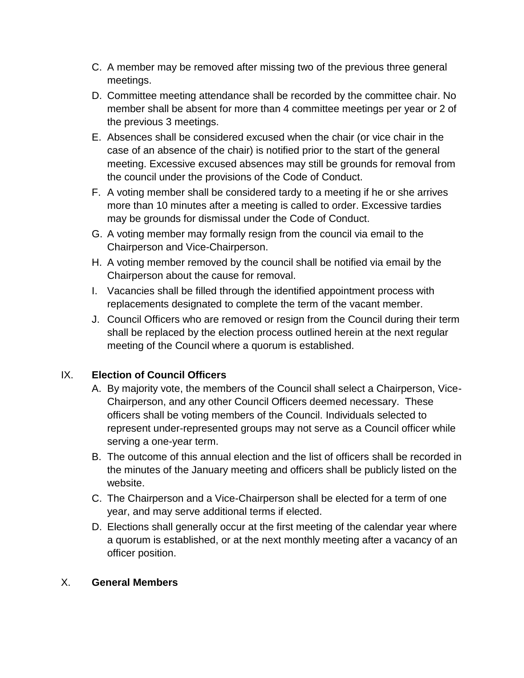- C. A member may be removed after missing two of the previous three general meetings.
- D. Committee meeting attendance shall be recorded by the committee chair. No member shall be absent for more than 4 committee meetings per year or 2 of the previous 3 meetings.
- E. Absences shall be considered excused when the chair (or vice chair in the case of an absence of the chair) is notified prior to the start of the general meeting. Excessive excused absences may still be grounds for removal from the council under the provisions of the Code of Conduct.
- F. A voting member shall be considered tardy to a meeting if he or she arrives more than 10 minutes after a meeting is called to order. Excessive tardies may be grounds for dismissal under the Code of Conduct.
- G. A voting member may formally resign from the council via email to the Chairperson and Vice-Chairperson.
- H. A voting member removed by the council shall be notified via email by the Chairperson about the cause for removal.
- I. Vacancies shall be filled through the identified appointment process with replacements designated to complete the term of the vacant member.
- J. Council Officers who are removed or resign from the Council during their term shall be replaced by the election process outlined herein at the next regular meeting of the Council where a quorum is established.

## IX. **Election of Council Officers**

- A. By majority vote, the members of the Council shall select a Chairperson, Vice-Chairperson, and any other Council Officers deemed necessary. These officers shall be voting members of the Council. Individuals selected to represent under-represented groups may not serve as a Council officer while serving a one-year term.
- B. The outcome of this annual election and the list of officers shall be recorded in the minutes of the January meeting and officers shall be publicly listed on the website.
- C. The Chairperson and a Vice-Chairperson shall be elected for a term of one year, and may serve additional terms if elected.
- D. Elections shall generally occur at the first meeting of the calendar year where a quorum is established, or at the next monthly meeting after a vacancy of an officer position.

#### X. **General Members**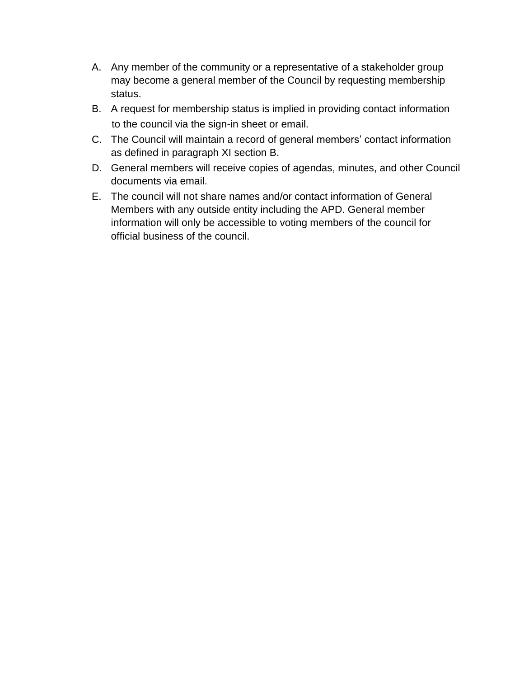- A. Any member of the community or a representative of a stakeholder group may become a general member of the Council by requesting membership status.
- B. A request for membership status is implied in providing contact information to the council via the sign-in sheet or email.
- C. The Council will maintain a record of general members' contact information as defined in paragraph XI section B.
- D. General members will receive copies of agendas, minutes, and other Council documents via email.
- E. The council will not share names and/or contact information of General Members with any outside entity including the APD. General member information will only be accessible to voting members of the council for official business of the council.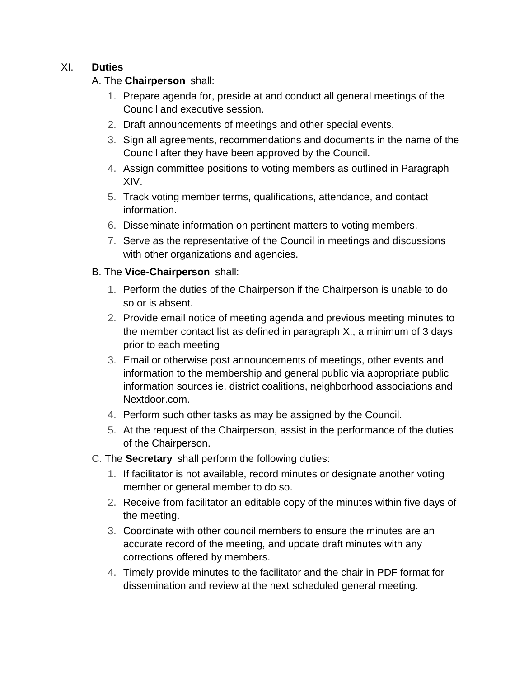#### XI. **Duties**

A. The **Chairperson** shall:

- 1. Prepare agenda for, preside at and conduct all general meetings of the Council and executive session.
- 2. Draft announcements of meetings and other special events.
- 3. Sign all agreements, recommendations and documents in the name of the Council after they have been approved by the Council.
- 4. Assign committee positions to voting members as outlined in Paragraph XIV.
- 5. Track voting member terms, qualifications, attendance, and contact information.
- 6. Disseminate information on pertinent matters to voting members.
- 7. Serve as the representative of the Council in meetings and discussions with other organizations and agencies.

#### B. The **Vice-Chairperson** shall:

- 1. Perform the duties of the Chairperson if the Chairperson is unable to do so or is absent.
- 2. Provide email notice of meeting agenda and previous meeting minutes to the member contact list as defined in paragraph X., a minimum of 3 days prior to each meeting
- 3. Email or otherwise post announcements of meetings, other events and information to the membership and general public via appropriate public information sources ie. district coalitions, neighborhood associations and Nextdoor.com.
- 4. Perform such other tasks as may be assigned by the Council.
- 5. At the request of the Chairperson, assist in the performance of the duties of the Chairperson.
- C. The **Secretary** shall perform the following duties:
	- 1. If facilitator is not available, record minutes or designate another voting member or general member to do so.
	- 2. Receive from facilitator an editable copy of the minutes within five days of the meeting.
	- 3. Coordinate with other council members to ensure the minutes are an accurate record of the meeting, and update draft minutes with any corrections offered by members.
	- 4. Timely provide minutes to the facilitator and the chair in PDF format for dissemination and review at the next scheduled general meeting.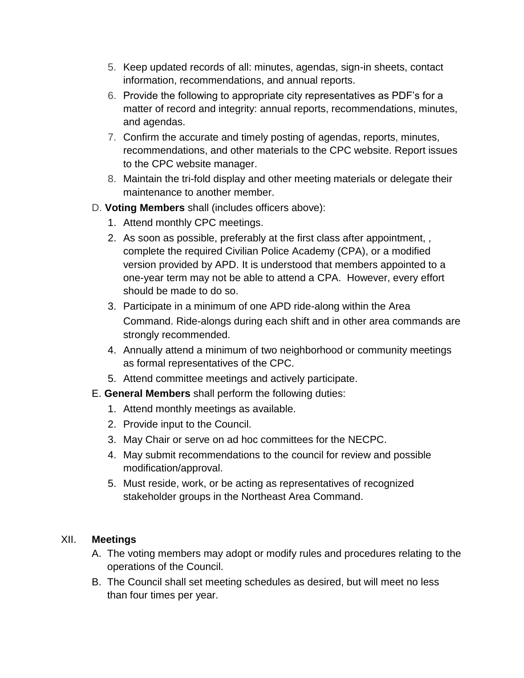- 5. Keep updated records of all: minutes, agendas, sign-in sheets, contact information, recommendations, and annual reports.
- 6. Provide the following to appropriate city representatives as PDF's for a matter of record and integrity: annual reports, recommendations, minutes, and agendas.
- 7. Confirm the accurate and timely posting of agendas, reports, minutes, recommendations, and other materials to the CPC website. Report issues to the CPC website manager.
- 8. Maintain the tri-fold display and other meeting materials or delegate their maintenance to another member.
- D. **Voting Members** shall (includes officers above):
	- 1. Attend monthly CPC meetings.
	- 2. As soon as possible, preferably at the first class after appointment, , complete the required Civilian Police Academy (CPA), or a modified version provided by APD. It is understood that members appointed to a one-year term may not be able to attend a CPA. However, every effort should be made to do so.
	- 3. Participate in a minimum of one APD ride-along within the Area Command. Ride-alongs during each shift and in other area commands are strongly recommended.
	- 4. Annually attend a minimum of two neighborhood or community meetings as formal representatives of the CPC.
	- 5. Attend committee meetings and actively participate.
- E. **General Members** shall perform the following duties:
	- 1. Attend monthly meetings as available.
	- 2. Provide input to the Council.
	- 3. May Chair or serve on ad hoc committees for the NECPC.
	- 4. May submit recommendations to the council for review and possible modification/approval.
	- 5. Must reside, work, or be acting as representatives of recognized stakeholder groups in the Northeast Area Command.

#### XII. **Meetings**

- A. The voting members may adopt or modify rules and procedures relating to the operations of the Council.
- B. The Council shall set meeting schedules as desired, but will meet no less than four times per year.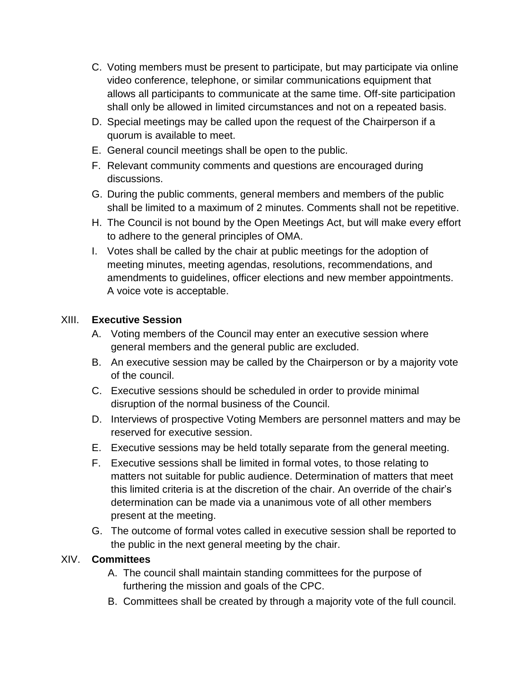- C. Voting members must be present to participate, but may participate via online video conference, telephone, or similar communications equipment that allows all participants to communicate at the same time. Off-site participation shall only be allowed in limited circumstances and not on a repeated basis.
- D. Special meetings may be called upon the request of the Chairperson if a quorum is available to meet.
- E. General council meetings shall be open to the public.
- F. Relevant community comments and questions are encouraged during discussions.
- G. During the public comments, general members and members of the public shall be limited to a maximum of 2 minutes. Comments shall not be repetitive.
- H. The Council is not bound by the Open Meetings Act, but will make every effort to adhere to the general principles of OMA.
- I. Votes shall be called by the chair at public meetings for the adoption of meeting minutes, meeting agendas, resolutions, recommendations, and amendments to guidelines, officer elections and new member appointments. A voice vote is acceptable.

## XIII. **Executive Session**

- A. Voting members of the Council may enter an executive session where general members and the general public are excluded.
- B. An executive session may be called by the Chairperson or by a majority vote of the council.
- C. Executive sessions should be scheduled in order to provide minimal disruption of the normal business of the Council.
- D. Interviews of prospective Voting Members are personnel matters and may be reserved for executive session.
- E. Executive sessions may be held totally separate from the general meeting.
- F. Executive sessions shall be limited in formal votes, to those relating to matters not suitable for public audience. Determination of matters that meet this limited criteria is at the discretion of the chair. An override of the chair's determination can be made via a unanimous vote of all other members present at the meeting.
- G. The outcome of formal votes called in executive session shall be reported to the public in the next general meeting by the chair.

#### XIV. **Committees**

- A. The council shall maintain standing committees for the purpose of furthering the mission and goals of the CPC.
- B. Committees shall be created by through a majority vote of the full council.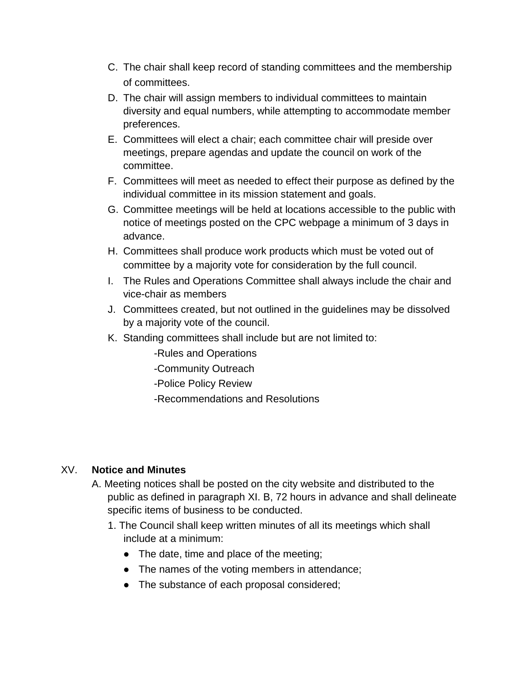- C. The chair shall keep record of standing committees and the membership of committees.
- D. The chair will assign members to individual committees to maintain diversity and equal numbers, while attempting to accommodate member preferences.
- E. Committees will elect a chair; each committee chair will preside over meetings, prepare agendas and update the council on work of the committee.
- F. Committees will meet as needed to effect their purpose as defined by the individual committee in its mission statement and goals.
- G. Committee meetings will be held at locations accessible to the public with notice of meetings posted on the CPC webpage a minimum of 3 days in advance.
- H. Committees shall produce work products which must be voted out of committee by a majority vote for consideration by the full council.
- I. The Rules and Operations Committee shall always include the chair and vice-chair as members
- J. Committees created, but not outlined in the guidelines may be dissolved by a majority vote of the council.
- K. Standing committees shall include but are not limited to:
	- -Rules and Operations
	- -Community Outreach
	- -Police Policy Review
	- -Recommendations and Resolutions

## XV. **Notice and Minutes**

- A. Meeting notices shall be posted on the city website and distributed to the public as defined in paragraph XI. B, 72 hours in advance and shall delineate specific items of business to be conducted.
	- 1. The Council shall keep written minutes of all its meetings which shall include at a minimum:
		- The date, time and place of the meeting;
		- The names of the voting members in attendance;
		- The substance of each proposal considered;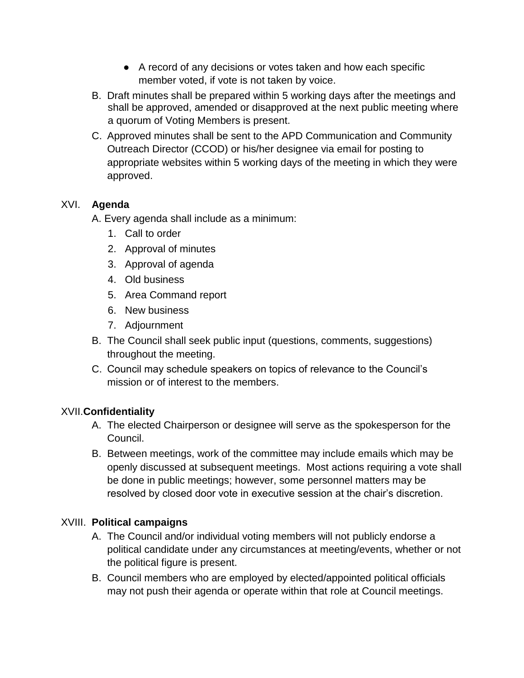- A record of any decisions or votes taken and how each specific member voted, if vote is not taken by voice.
- B. Draft minutes shall be prepared within 5 working days after the meetings and shall be approved, amended or disapproved at the next public meeting where a quorum of Voting Members is present.
- C. Approved minutes shall be sent to the APD Communication and Community Outreach Director (CCOD) or his/her designee via email for posting to appropriate websites within 5 working days of the meeting in which they were approved.

## XVI. **Agenda**

- A. Every agenda shall include as a minimum:
	- 1. Call to order
	- 2. Approval of minutes
	- 3. Approval of agenda
	- 4. Old business
	- 5. Area Command report
	- 6. New business
	- 7. Adjournment
- B. The Council shall seek public input (questions, comments, suggestions) throughout the meeting.
- C. Council may schedule speakers on topics of relevance to the Council's mission or of interest to the members.

## XVII.**Confidentiality**

- A. The elected Chairperson or designee will serve as the spokesperson for the Council.
- B. Between meetings, work of the committee may include emails which may be openly discussed at subsequent meetings. Most actions requiring a vote shall be done in public meetings; however, some personnel matters may be resolved by closed door vote in executive session at the chair's discretion.

## XVIII. **Political campaigns**

- A. The Council and/or individual voting members will not publicly endorse a political candidate under any circumstances at meeting/events, whether or not the political figure is present.
- B. Council members who are employed by elected/appointed political officials may not push their agenda or operate within that role at Council meetings.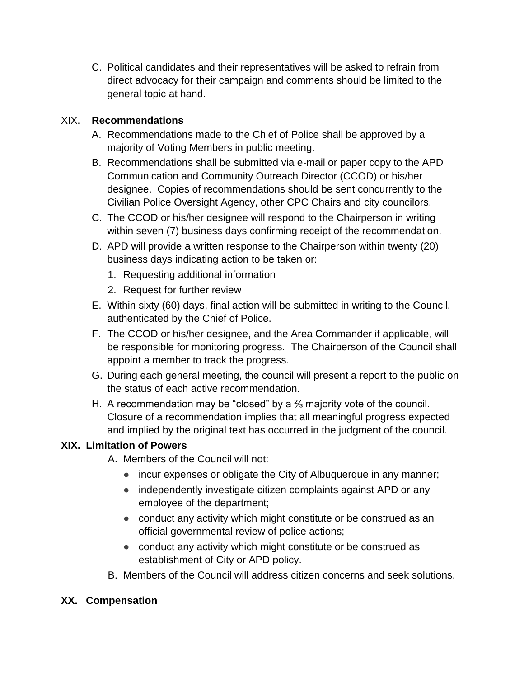C. Political candidates and their representatives will be asked to refrain from direct advocacy for their campaign and comments should be limited to the general topic at hand.

### XIX. **Recommendations**

- A. Recommendations made to the Chief of Police shall be approved by a majority of Voting Members in public meeting.
- B. Recommendations shall be submitted via e-mail or paper copy to the APD Communication and Community Outreach Director (CCOD) or his/her designee. Copies of recommendations should be sent concurrently to the Civilian Police Oversight Agency, other CPC Chairs and city councilors.
- C. The CCOD or his/her designee will respond to the Chairperson in writing within seven (7) business days confirming receipt of the recommendation.
- D. APD will provide a written response to the Chairperson within twenty (20) business days indicating action to be taken or:
	- 1. Requesting additional information
	- 2. Request for further review
- E. Within sixty (60) days, final action will be submitted in writing to the Council, authenticated by the Chief of Police.
- F. The CCOD or his/her designee, and the Area Commander if applicable, will be responsible for monitoring progress. The Chairperson of the Council shall appoint a member to track the progress.
- G. During each general meeting, the council will present a report to the public on the status of each active recommendation.
- H. A recommendation may be "closed" by a ⅔ majority vote of the council. Closure of a recommendation implies that all meaningful progress expected and implied by the original text has occurred in the judgment of the council.

## **XIX. Limitation of Powers**

- A. Members of the Council will not:
	- incur expenses or obligate the City of Albuquerque in any manner;
	- independently investigate citizen complaints against APD or any employee of the department;
	- conduct any activity which might constitute or be construed as an official governmental review of police actions;
	- conduct any activity which might constitute or be construed as establishment of City or APD policy.
- B. Members of the Council will address citizen concerns and seek solutions.

## **XX. Compensation**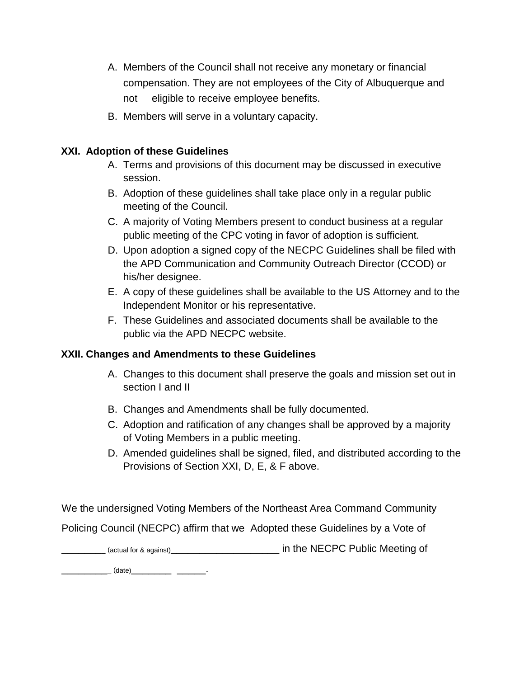- A. Members of the Council shall not receive any monetary or financial compensation. They are not employees of the City of Albuquerque and not eligible to receive employee benefits.
- B. Members will serve in a voluntary capacity.

#### **XXI. Adoption of these Guidelines**

- A. Terms and provisions of this document may be discussed in executive session.
- B. Adoption of these guidelines shall take place only in a regular public meeting of the Council.
- C. A majority of Voting Members present to conduct business at a regular public meeting of the CPC voting in favor of adoption is sufficient.
- D. Upon adoption a signed copy of the NECPC Guidelines shall be filed with the APD Communication and Community Outreach Director (CCOD) or his/her designee.
- E. A copy of these guidelines shall be available to the US Attorney and to the Independent Monitor or his representative.
- F. These Guidelines and associated documents shall be available to the public via the APD NECPC website.

#### **XXII. Changes and Amendments to these Guidelines**

- A. Changes to this document shall preserve the goals and mission set out in section I and II
- B. Changes and Amendments shall be fully documented.
- C. Adoption and ratification of any changes shall be approved by a majority of Voting Members in a public meeting.
- D. Amended guidelines shall be signed, filed, and distributed according to the Provisions of Section XXI, D, E, & F above.

We the undersigned Voting Members of the Northeast Area Command Community

Policing Council (NECPC) affirm that we Adopted these Guidelines by a Vote of

\_\_\_\_\_\_\_\_ (actual for & against)\_\_\_\_\_\_\_\_\_\_\_\_\_\_\_\_\_\_\_ in the NECPC Public Meeting of

\_\_\_\_\_\_\_\_\_ (date)\_\_\_\_\_\_\_ \_\_\_\_\_.